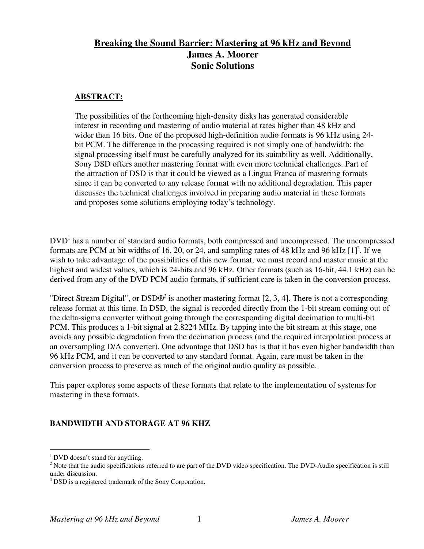## **Breaking the Sound Barrier: Mastering at 96 kHz and Beyond James A. Moorer Sonic Solutions**

#### **ABSTRACT:**

The possibilities of the forthcoming high-density disks has generated considerable interest in recording and mastering of audio material at rates higher than 48 kHz and wider than 16 bits. One of the proposed high-definition audio formats is 96 kHz using 24 bit PCM. The difference in the processing required is not simply one of bandwidth: the signal processing itself must be carefully analyzed for its suitability as well. Additionally, Sony DSD offers another mastering format with even more technical challenges. Part of the attraction of DSD is that it could be viewed as a Lingua Franca of mastering formats since it can be converted to any release format with no additional degradation. This paper discusses the technical challenges involved in preparing audio material in these formats and proposes some solutions employing today's technology.

DVD<sup>1</sup> has a number of standard audio formats, both compressed and uncompressed. The uncompressed formats are PCM at bit widths of 16, 20, or 24, and sampling rates of 48 kHz and 96 kHz  $[1]^2$ . If we wish to take advantage of the possibilities of this new format, we must record and master music at the highest and widest values, which is 24-bits and 96 kHz. Other formats (such as 16-bit, 44.1 kHz) can be derived from any of the DVD PCM audio formats, if sufficient care is taken in the conversion process.

"Direct Stream Digital", or DSD $\mathbb{D}^3$  is another mastering format [2, 3, 4]. There is not a corresponding release format at this time. In DSD, the signal is recorded directly from the 1-bit stream coming out of the delta-sigma converter without going through the corresponding digital decimation to multi-bit PCM. This produces a 1-bit signal at 2.8224 MHz. By tapping into the bit stream at this stage, one avoids any possible degradation from the decimation process (and the required interpolation process at an oversampling D/A converter). One advantage that DSD has is that it has even higher bandwidth than 96 kHz PCM, and it can be converted to any standard format. Again, care must be taken in the conversion process to preserve as much of the original audio quality as possible.

This paper explores some aspects of these formats that relate to the implementation of systems for mastering in these formats.

### **BANDWIDTH AND STORAGE AT 96 KHZ**

 $\frac{1}{1}$  $1$  DVD doesn't stand for anything.

 $2$  Note that the audio specifications referred to are part of the DVD video specification. The DVD-Audio specification is still under discussion.

<sup>&</sup>lt;sup>3</sup> DSD is a registered trademark of the Sony Corporation.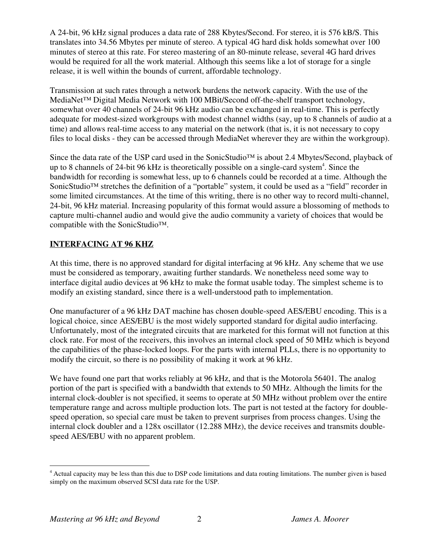A 24-bit, 96 kHz signal produces a data rate of 288 Kbytes/Second. For stereo, it is 576 kB/S. This translates into 34.56 Mbytes per minute of stereo. A typical 4G hard disk holds somewhat over 100 minutes of stereo at this rate. For stereo mastering of an 80-minute release, several 4G hard drives would be required for all the work material. Although this seems like a lot of storage for a single release, it is well within the bounds of current, affordable technology.

Transmission at such rates through a network burdens the network capacity. With the use of the MediaNet™ Digital Media Network with 100 MBit/Second off-the-shelf transport technology, somewhat over 40 channels of 24-bit 96 kHz audio can be exchanged in real-time. This is perfectly adequate for modest-sized workgroups with modest channel widths (say, up to 8 channels of audio at a time) and allows real-time access to any material on the network (that is, it is not necessary to copy files to local disks - they can be accessed through MediaNet wherever they are within the workgroup).

Since the data rate of the USP card used in the SonicStudio™ is about 2.4 Mbytes/Second, playback of up to 8 channels of 24-bit 96 kHz is theoretically possible on a single-card system<sup>4</sup>. Since the bandwidth for recording is somewhat less, up to 6 channels could be recorded at a time. Although the SonicStudio<sup>™</sup> stretches the definition of a "portable" system, it could be used as a "field" recorder in some limited circumstances. At the time of this writing, there is no other way to record multi-channel, 24-bit, 96 kHz material. Increasing popularity of this format would assure a blossoming of methods to capture multi-channel audio and would give the audio community a variety of choices that would be compatible with the SonicStudio™.

### **INTERFACING AT 96 KHZ**

At this time, there is no approved standard for digital interfacing at 96 kHz. Any scheme that we use must be considered as temporary, awaiting further standards. We nonetheless need some way to interface digital audio devices at 96 kHz to make the format usable today. The simplest scheme is to modify an existing standard, since there is a well-understood path to implementation.

One manufacturer of a 96 kHz DAT machine has chosen double-speed AES/EBU encoding. This is a logical choice, since AES/EBU is the most widely supported standard for digital audio interfacing. Unfortunately, most of the integrated circuits that are marketed for this format will not function at this clock rate. For most of the receivers, this involves an internal clock speed of 50 MHz which is beyond the capabilities of the phase-locked loops. For the parts with internal PLLs, there is no opportunity to modify the circuit, so there is no possibility of making it work at 96 kHz.

We have found one part that works reliably at 96 kHz, and that is the Motorola 56401. The analog portion of the part is specified with a bandwidth that extends to 50 MHz. Although the limits for the internal clock-doubler is not specified, it seems to operate at 50 MHz without problem over the entire temperature range and across multiple production lots. The part is not tested at the factory for doublespeed operation, so special care must be taken to prevent surprises from process changes. Using the internal clock doubler and a 128x oscillator (12.288 MHz), the device receives and transmits doublespeed AES/EBU with no apparent problem.

 <sup>4</sup> <sup>4</sup> Actual capacity may be less than this due to DSP code limitations and data routing limitations. The number given is based simply on the maximum observed SCSI data rate for the USP.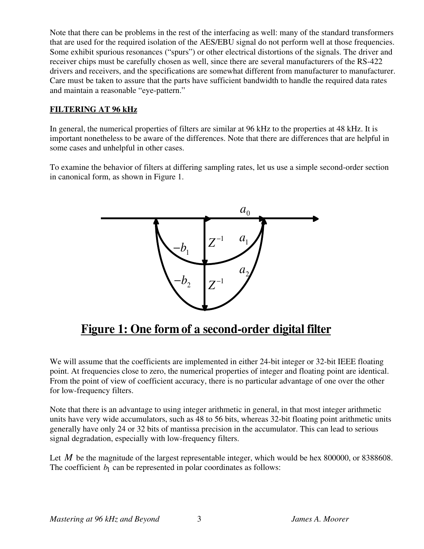Note that there can be problems in the rest of the interfacing as well: many of the standard transformers that are used for the required isolation of the AES/EBU signal do not perform well at those frequencies. Some exhibit spurious resonances ("spurs") or other electrical distortions of the signals. The driver and receiver chips must be carefully chosen as well, since there are several manufacturers of the RS-422 drivers and receivers, and the specifications are somewhat different from manufacturer to manufacturer. Care must be taken to assure that the parts have sufficient bandwidth to handle the required data rates and maintain a reasonable "eye-pattern."

### **FILTERING AT 96 kHz**

In general, the numerical properties of filters are similar at 96 kHz to the properties at 48 kHz. It is important nonetheless to be aware of the differences. Note that there are differences that are helpful in some cases and unhelpful in other cases.

To examine the behavior of filters at differing sampling rates, let us use a simple second-order section in canonical form, as shown in Figure 1.



# **Figure 1: One form of a second-order digital filter**

We will assume that the coefficients are implemented in either 24-bit integer or 32-bit IEEE floating point. At frequencies close to zero, the numerical properties of integer and floating point are identical. From the point of view of coefficient accuracy, there is no particular advantage of one over the other for low-frequency filters.

Note that there is an advantage to using integer arithmetic in general, in that most integer arithmetic units have very wide accumulators, such as 48 to 56 bits, whereas 32-bit floating point arithmetic units generally have only 24 or 32 bits of mantissa precision in the accumulator. This can lead to serious signal degradation, especially with low-frequency filters.

Let *M* be the magnitude of the largest representable integer, which would be hex 800000, or 8388608. The coefficient  $b_1$  can be represented in polar coordinates as follows: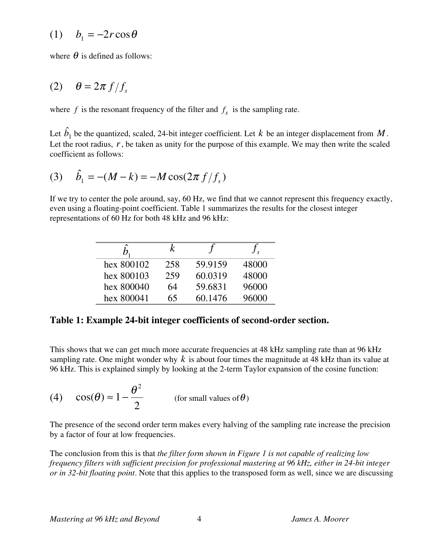where  $\theta$  is defined as follows:

$$
(2) \quad \theta = 2\pi f/f_s
$$

where  $f$  is the resonant frequency of the filter and  $f_s$  is the sampling rate.

Let  $\hat{b}_1$  be the quantized, scaled, 24-bit integer coefficient. Let  $k$  be an integer displacement from  $M$ . Let the root radius,  $r$ , be taken as unity for the purpose of this example. We may then write the scaled coefficient as follows:

(3) 
$$
\hat{b}_1 = -(M - k) = -M\cos(2\pi f/f_s)
$$

If we try to center the pole around, say, 60 Hz, we find that we cannot represent this frequency exactly, even using a floating-point coefficient. Table 1 summarizes the results for the closest integer representations of 60 Hz for both 48 kHz and 96 kHz:

|            | k   |         |       |
|------------|-----|---------|-------|
| hex 800102 | 258 | 59.9159 | 48000 |
| hex 800103 | 259 | 60.0319 | 48000 |
| hex 800040 | 64  | 59.6831 | 96000 |
| hex 800041 | 65  | 60.1476 | 96000 |

### **Table 1: Example 24-bit integer coefficients of second-order section.**

This shows that we can get much more accurate frequencies at 48 kHz sampling rate than at 96 kHz sampling rate. One might wonder why *k* is about four times the magnitude at 48 kHz than its value at 96 kHz. This is explained simply by looking at the 2-term Taylor expansion of the cosine function:

(4) 
$$
\cos(\theta) \approx 1 - \frac{\theta^2}{2}
$$
 (for small values of  $\theta$ )

The presence of the second order term makes every halving of the sampling rate increase the precision by a factor of four at low frequencies.

The conclusion from this is that *the filter form shown in Figure 1 is not capable of realizing low frequency filters with sufficient precision for professional mastering at 96 kHz, either in 24-bit integer or in 32-bit floating point*. Note that this applies to the transposed form as well, since we are discussing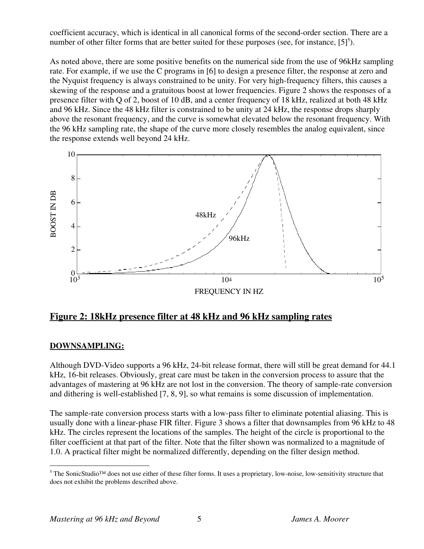coefficient accuracy, which is identical in all canonical forms of the second-order section. There are a number of other filter forms that are better suited for these purposes (see, for instance,  $[5]^5$ ).

As noted above, there are some positive benefits on the numerical side from the use of 96kHz sampling rate. For example, if we use the C programs in [6] to design a presence filter, the response at zero and the Nyquist frequency is always constrained to be unity. For very high-frequency filters, this causes a skewing of the response and a gratuitous boost at lower frequencies. Figure 2 shows the responses of a presence filter with Q of 2, boost of 10 dB, and a center frequency of 18 kHz, realized at both 48 kHz and 96 kHz. Since the 48 kHz filter is constrained to be unity at 24 kHz, the response drops sharply above the resonant frequency, and the curve is somewhat elevated below the resonant frequency. With the 96 kHz sampling rate, the shape of the curve more closely resembles the analog equivalent, since the response extends well beyond 24 kHz.



**Figure 2: 18kHz presence filter at 48 kHz and 96 kHz sampling rates**

### **DOWNSAMPLING:**

Although DVD-Video supports a 96 kHz, 24-bit release format, there will still be great demand for 44.1 kHz, 16-bit releases. Obviously, great care must be taken in the conversion process to assure that the advantages of mastering at 96 kHz are not lost in the conversion. The theory of sample-rate conversion and dithering is well-established [7, 8, 9], so what remains is some discussion of implementation.

The sample-rate conversion process starts with a low-pass filter to eliminate potential aliasing. This is usually done with a linear-phase FIR filter. Figure 3 shows a filter that downsamples from 96 kHz to 48 kHz. The circles represent the locations of the samples. The height of the circle is proportional to the filter coefficient at that part of the filter. Note that the filter shown was normalized to a magnitude of 1.0. A practical filter might be normalized differently, depending on the filter design method.

 <sup>5</sup> The SonicStudio™ does not use either of these filter forms. It uses a proprietary, low-noise, low-sensitivity structure that does not exhibit the problems described above.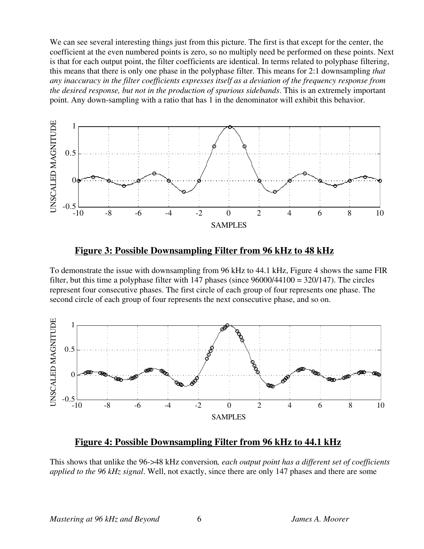We can see several interesting things just from this picture. The first is that except for the center, the coefficient at the even numbered points is zero, so no multiply need be performed on these points. Next is that for each output point, the filter coefficients are identical. In terms related to polyphase filtering, this means that there is only one phase in the polyphase filter. This means for 2:1 downsampling *that any inaccuracy in the filter coefficients expresses itself as a deviation of the frequency response from the desired response, but not in the production of spurious sidebands*. This is an extremely important point. Any down-sampling with a ratio that has 1 in the denominator will exhibit this behavior.





To demonstrate the issue with downsampling from 96 kHz to 44.1 kHz, Figure 4 shows the same FIR filter, but this time a polyphase filter with 147 phases (since 96000/44100 = 320/147). The circles represent four consecutive phases. The first circle of each group of four represents one phase. The second circle of each group of four represents the next consecutive phase, and so on.



### **Figure 4: Possible Downsampling Filter from 96 kHz to 44.1 kHz**

This shows that unlike the 96->48 kHz conversion*, each output point has a different set of coefficients applied to the 96 kHz signal*. Well, not exactly, since there are only 147 phases and there are some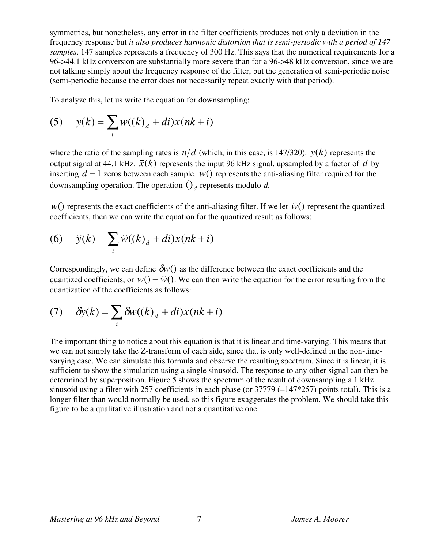symmetries, but nonetheless, any error in the filter coefficients produces not only a deviation in the frequency response but *it also produces harmonic distortion that is semi-periodic with a period of 147 samples*. 147 samples represents a frequency of 300 Hz. This says that the numerical requirements for a 96->44.1 kHz conversion are substantially more severe than for a 96->48 kHz conversion, since we are not talking simply about the frequency response of the filter, but the generation of semi-periodic noise (semi-periodic because the error does not necessarily repeat exactly with that period).

To analyze this, let us write the equation for downsampling:

(5) 
$$
y(k) = \sum_{i} w((k)_d + di)\overline{x}(nk+i)
$$

where the ratio of the sampling rates is  $n/d$  (which, in this case, is 147/320).  $y(k)$  represents the output signal at 44.1 kHz.  $\bar{x}(k)$  represents the input 96 kHz signal, upsampled by a factor of *d* by inserting  $d-1$  zeros between each sample. *w*() represents the anti-aliasing filter required for the downsampling operation. The operation  $\left(\right)_{d}$  represents modulo-*d*.

 $w()$  represents the exact coefficients of the anti-aliasing filter. If we let  $\hat{w}()$  represent the quantized coefficients, then we can write the equation for the quantized result as follows:

(6) 
$$
\widehat{y}(k) = \sum_{i} \widehat{w}((k)_d + di)\overline{x}(nk+i)
$$

Correspondingly, we can define  $\delta w()$  as the difference between the exact coefficients and the quantized coefficients, or  $w() - \hat{w}()$ . We can then write the equation for the error resulting from the quantization of the coefficients as follows:

(7) 
$$
\delta y(k) = \sum_{i} \delta w((k)_{d} + di)\bar{x}(nk + i)
$$

The important thing to notice about this equation is that it is linear and time-varying. This means that we can not simply take the Z-transform of each side, since that is only well-defined in the non-timevarying case. We can simulate this formula and observe the resulting spectrum. Since it is linear, it is sufficient to show the simulation using a single sinusoid. The response to any other signal can then be determined by superposition. Figure 5 shows the spectrum of the result of downsampling a 1 kHz sinusoid using a filter with 257 coefficients in each phase (or  $37779$  (=147\*257) points total). This is a longer filter than would normally be used, so this figure exaggerates the problem. We should take this figure to be a qualitative illustration and not a quantitative one.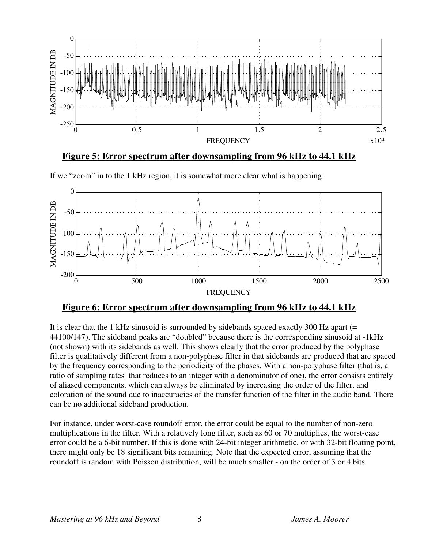

**Figure 5: Error spectrum after downsampling from 96 kHz to 44.1 kHz**





### **Figure 6: Error spectrum after downsampling from 96 kHz to 44.1 kHz**

It is clear that the 1 kHz sinusoid is surrounded by sidebands spaced exactly 300 Hz apart (= 44100/147). The sideband peaks are "doubled" because there is the corresponding sinusoid at -1kHz (not shown) with its sidebands as well. This shows clearly that the error produced by the polyphase filter is qualitatively different from a non-polyphase filter in that sidebands are produced that are spaced by the frequency corresponding to the periodicity of the phases. With a non-polyphase filter (that is, a ratio of sampling rates that reduces to an integer with a denominator of one), the error consists entirely of aliased components, which can always be eliminated by increasing the order of the filter, and coloration of the sound due to inaccuracies of the transfer function of the filter in the audio band. There can be no additional sideband production.

For instance, under worst-case roundoff error, the error could be equal to the number of non-zero multiplications in the filter. With a relatively long filter, such as 60 or 70 multiplies, the worst-case error could be a 6-bit number. If this is done with 24-bit integer arithmetic, or with 32-bit floating point, there might only be 18 significant bits remaining. Note that the expected error, assuming that the roundoff is random with Poisson distribution, will be much smaller - on the order of 3 or 4 bits.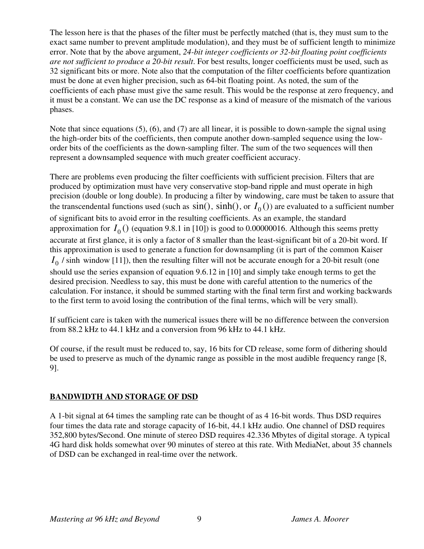The lesson here is that the phases of the filter must be perfectly matched (that is, they must sum to the exact same number to prevent amplitude modulation), and they must be of sufficient length to minimize error. Note that by the above argument, *24-bit integer coefficients or 32-bit floating point coefficients are not sufficient to produce a 20-bit result*. For best results, longer coefficients must be used, such as 32 significant bits or more. Note also that the computation of the filter coefficients before quantization must be done at even higher precision, such as 64-bit floating point. As noted, the sum of the coefficients of each phase must give the same result. This would be the response at zero frequency, and it must be a constant. We can use the DC response as a kind of measure of the mismatch of the various phases.

Note that since equations (5), (6), and (7) are all linear, it is possible to down-sample the signal using the high-order bits of the coefficients, then compute another down-sampled sequence using the loworder bits of the coefficients as the down-sampling filter. The sum of the two sequences will then represent a downsampled sequence with much greater coefficient accuracy.

There are problems even producing the filter coefficients with sufficient precision. Filters that are produced by optimization must have very conservative stop-band ripple and must operate in high precision (double or long double). In producing a filter by windowing, care must be taken to assure that the transcendental functions used (such as  $sin()$ ,  $sinh()$ , or  $I_0()$ ) are evaluated to a sufficient number of significant bits to avoid error in the resulting coefficients. As an example, the standard approximation for  $I_0$  () (equation 9.8.1 in [10]) is good to 0.00000016. Although this seems pretty accurate at first glance, it is only a factor of 8 smaller than the least-significant bit of a 20-bit word. If this approximation is used to generate a function for downsampling (it is part of the common Kaiser  $I_0$  / sinh window [11]), then the resulting filter will not be accurate enough for a 20-bit result (one should use the series expansion of equation 9.6.12 in [10] and simply take enough terms to get the desired precision. Needless to say, this must be done with careful attention to the numerics of the calculation. For instance, it should be summed starting with the final term first and working backwards to the first term to avoid losing the contribution of the final terms, which will be very small).

If sufficient care is taken with the numerical issues there will be no difference between the conversion from 88.2 kHz to 44.1 kHz and a conversion from 96 kHz to 44.1 kHz.

Of course, if the result must be reduced to, say, 16 bits for CD release, some form of dithering should be used to preserve as much of the dynamic range as possible in the most audible frequency range [8, 9].

### **BANDWIDTH AND STORAGE OF DSD**

A 1-bit signal at 64 times the sampling rate can be thought of as 4 16-bit words. Thus DSD requires four times the data rate and storage capacity of 16-bit, 44.1 kHz audio. One channel of DSD requires 352,800 bytes/Second. One minute of stereo DSD requires 42.336 Mbytes of digital storage. A typical 4G hard disk holds somewhat over 90 minutes of stereo at this rate. With MediaNet, about 35 channels of DSD can be exchanged in real-time over the network.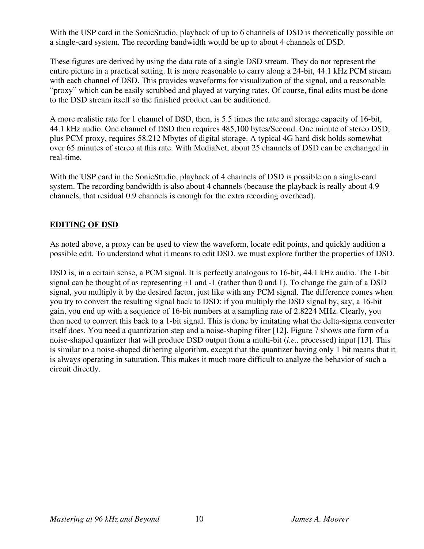With the USP card in the SonicStudio, playback of up to 6 channels of DSD is theoretically possible on a single-card system. The recording bandwidth would be up to about 4 channels of DSD.

These figures are derived by using the data rate of a single DSD stream. They do not represent the entire picture in a practical setting. It is more reasonable to carry along a 24-bit, 44.1 kHz PCM stream with each channel of DSD. This provides waveforms for visualization of the signal, and a reasonable "proxy" which can be easily scrubbed and played at varying rates. Of course, final edits must be done to the DSD stream itself so the finished product can be auditioned.

A more realistic rate for 1 channel of DSD, then, is 5.5 times the rate and storage capacity of 16-bit, 44.1 kHz audio. One channel of DSD then requires 485,100 bytes/Second. One minute of stereo DSD, plus PCM proxy, requires 58.212 Mbytes of digital storage. A typical 4G hard disk holds somewhat over 65 minutes of stereo at this rate. With MediaNet, about 25 channels of DSD can be exchanged in real-time.

With the USP card in the SonicStudio, playback of 4 channels of DSD is possible on a single-card system. The recording bandwidth is also about 4 channels (because the playback is really about 4.9 channels, that residual 0.9 channels is enough for the extra recording overhead).

### **EDITING OF DSD**

As noted above, a proxy can be used to view the waveform, locate edit points, and quickly audition a possible edit. To understand what it means to edit DSD, we must explore further the properties of DSD.

DSD is, in a certain sense, a PCM signal. It is perfectly analogous to 16-bit, 44.1 kHz audio. The 1-bit signal can be thought of as representing  $+1$  and  $-1$  (rather than 0 and 1). To change the gain of a DSD signal, you multiply it by the desired factor, just like with any PCM signal. The difference comes when you try to convert the resulting signal back to DSD: if you multiply the DSD signal by, say, a 16-bit gain, you end up with a sequence of 16-bit numbers at a sampling rate of 2.8224 MHz. Clearly, you then need to convert this back to a 1-bit signal. This is done by imitating what the delta-sigma converter itself does. You need a quantization step and a noise-shaping filter [12]. Figure 7 shows one form of a noise-shaped quantizer that will produce DSD output from a multi-bit (*i.e.,* processed) input [13]. This is similar to a noise-shaped dithering algorithm, except that the quantizer having only 1 bit means that it is always operating in saturation. This makes it much more difficult to analyze the behavior of such a circuit directly.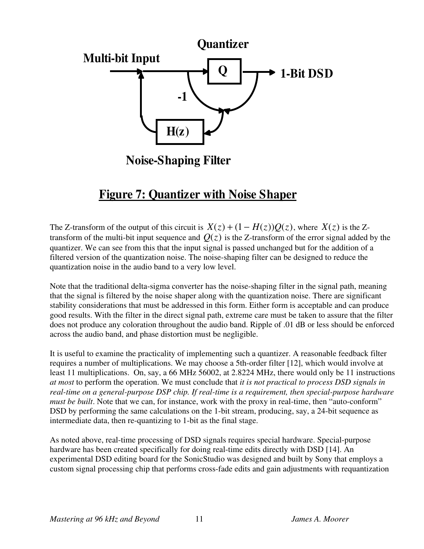

**Noise-Shaping Filter**

# **Figure 7: Quantizer with Noise Shaper**

The Z-transform of the output of this circuit is  $X(z) + (1 - H(z))Q(z)$ , where  $X(z)$  is the Ztransform of the multi-bit input sequence and  $Q(z)$  is the Z-transform of the error signal added by the quantizer. We can see from this that the input signal is passed unchanged but for the addition of a filtered version of the quantization noise. The noise-shaping filter can be designed to reduce the quantization noise in the audio band to a very low level.

Note that the traditional delta-sigma converter has the noise-shaping filter in the signal path, meaning that the signal is filtered by the noise shaper along with the quantization noise. There are significant stability considerations that must be addressed in this form. Either form is acceptable and can produce good results. With the filter in the direct signal path, extreme care must be taken to assure that the filter does not produce any coloration throughout the audio band. Ripple of .01 dB or less should be enforced across the audio band, and phase distortion must be negligible.

It is useful to examine the practicality of implementing such a quantizer. A reasonable feedback filter requires a number of multiplications. We may choose a 5th-order filter [12], which would involve at least 11 multiplications. On, say, a 66 MHz 56002, at 2.8224 MHz, there would only be 11 instructions *at most* to perform the operation. We must conclude that *it is not practical to process DSD signals in real-time on a general-purpose DSP chip. If real-time is a requirement, then special-purpose hardware must be built*. Note that we can, for instance, work with the proxy in real-time, then "auto-conform" DSD by performing the same calculations on the 1-bit stream, producing, say, a 24-bit sequence as intermediate data, then re-quantizing to 1-bit as the final stage.

As noted above, real-time processing of DSD signals requires special hardware. Special-purpose hardware has been created specifically for doing real-time edits directly with DSD [14]. An experimental DSD editing board for the SonicStudio was designed and built by Sony that employs a custom signal processing chip that performs cross-fade edits and gain adjustments with requantization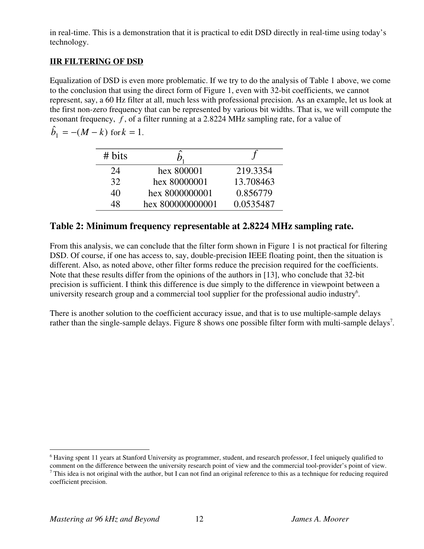in real-time. This is a demonstration that it is practical to edit DSD directly in real-time using today's technology.

### **IIR FILTERING OF DSD**

Equalization of DSD is even more problematic. If we try to do the analysis of Table 1 above, we come to the conclusion that using the direct form of Figure 1, even with 32-bit coefficients, we cannot represent, say, a 60 Hz filter at all, much less with professional precision. As an example, let us look at the first non-zero frequency that can be represented by various bit widths. That is, we will compute the resonant frequency, *f* , of a filter running at a 2.8224 MHz sampling rate, for a value of

$$
\hat{b}_1 = -(M - k) \text{ for } k = 1.
$$

| # bits |                  |           |
|--------|------------------|-----------|
| 24     | hex 800001       | 219.3354  |
| 32     | hex 80000001     | 13.708463 |
| 40     | hex 8000000001   | 0.856779  |
| 48     | hex 800000000001 | 0.0535487 |

### **Table 2: Minimum frequency representable at 2.8224 MHz sampling rate.**

From this analysis, we can conclude that the filter form shown in Figure 1 is not practical for filtering DSD. Of course, if one has access to, say, double-precision IEEE floating point, then the situation is different. Also, as noted above, other filter forms reduce the precision required for the coefficients. Note that these results differ from the opinions of the authors in [13], who conclude that 32-bit precision is sufficient. I think this difference is due simply to the difference in viewpoint between a university research group and a commercial tool supplier for the professional audio industry<sup>6</sup>.

There is another solution to the coefficient accuracy issue, and that is to use multiple-sample delays rather than the single-sample delays. Figure 8 shows one possible filter form with multi-sample delays<sup>7</sup>.

 $\frac{1}{6}$ <sup>6</sup> Having spent 11 years at Stanford University as programmer, student, and research professor, I feel uniquely qualified to

comment on the difference between the university research point of view and the commercial tool-provider's point of view.  $^7$  This idea is not original with the author, but I can not find an original reference to this as a technique for reducing required coefficient precision.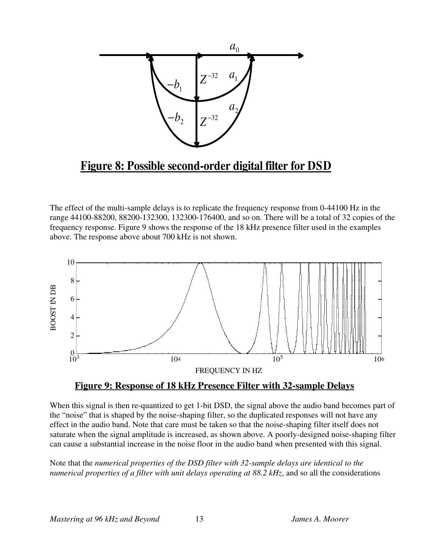

# **Figure 8: Possible second-order digital filter for DSD**

The effect of the multi-sample delays is to replicate the frequency response from 0-44100 Hz in the range 44100-88200, 88200-132300, 132300-176400, and so on. There will be a total of 32 copies of the frequency response. Figure 9 shows the response of the 18 kHz presence filter used in the examples above. The response above about 700 kHz is not shown.





When this signal is then re-quantized to get 1-bit DSD, the signal above the audio band becomes part of the "noise" that is shaped by the noise-shaping filter, so the duplicated responses will not have any effect in the audio band. Note that care must be taken so that the noise-shaping filter itself does not saturate when the signal amplitude is increased, as shown above. A poorly-designed noise-shaping filter can cause a substantial increase in the noise floor in the audio band when presented with this signal.

Note that the *numerical properties of the DSD filter with 32-sample delays are identical to the numerical properties of a filter with unit delays operating at 88.2 kHz*, and so all the considerations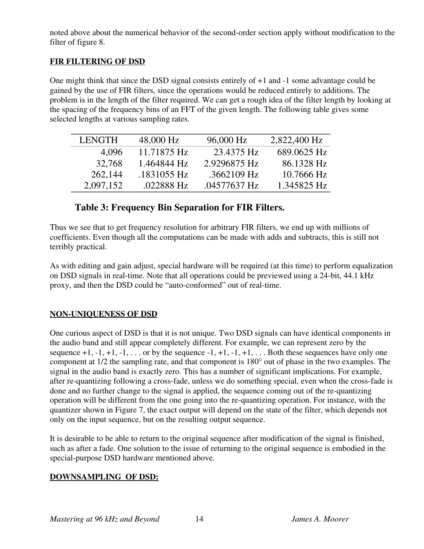noted above about the numerical behavior of the second-order section apply without modification to the filter of figure 8.

### **FIR FILTERING OF DSD**

One might think that since the DSD signal consists entirely of +1 and -1 some advantage could be gained by the use of FIR filters, since the operations would be reduced entirely to additions. The problem is in the length of the filter required. We can get a rough idea of the filter length by looking at the spacing of the frequency bins of an FFT of the given length. The following table gives some selected lengths at various sampling rates.

| <b>LENGTH</b> | 48,000 Hz   | 96,000 Hz    | 2,822,400 Hz |
|---------------|-------------|--------------|--------------|
| 4,096         | 11.71875 Hz | 23.4375 Hz   | 689.0625 Hz  |
| 32,768        | 1.464844 Hz | 2.9296875 Hz | 86.1328 Hz   |
| 262,144       | .1831055 Hz | .3662109 Hz  | 10.7666 Hz   |
| 2,097,152     | .022888 Hz  | .04577637 Hz | 1.345825 Hz  |

### **Table 3: Frequency Bin Separation for FIR Filters.**

Thus we see that to get frequency resolution for arbitrary FIR filters, we end up with millions of coefficients. Even though all the computations can be made with adds and subtracts, this is still not terribly practical.

As with editing and gain adjust, special hardware will be required (at this time) to perform equalization on DSD signals in real-time. Note that all operations could be previewed using a 24-bit, 44.1 kHz proxy, and then the DSD could be "auto-conformed" out of real-time.

### **NON-UNIQUENESS OF DSD**

One curious aspect of DSD is that it is not unique. Two DSD signals can have identical components in the audio band and still appear completely different. For example, we can represent zero by the sequence  $+1$ ,  $-1$ ,  $+1$ ,  $-1$ ,  $\ldots$  or by the sequence  $-1$ ,  $+1$ ,  $-1$ ,  $+1$ ,  $\ldots$  Both these sequences have only one component at 1/2 the sampling rate, and that component is 180° out of phase in the two examples. The signal in the audio band is exactly zero. This has a number of significant implications. For example, after re-quantizing following a cross-fade, unless we do something special, even when the cross-fade is done and no further change to the signal is applied, the sequence coming out of the re-quantizing operation will be different from the one going into the re-quantizing operation. For instance, with the quantizer shown in Figure 7, the exact output will depend on the state of the filter, which depends not only on the input sequence, but on the resulting output sequence.

It is desirable to be able to return to the original sequence after modification of the signal is finished, such as after a fade. One solution to the issue of returning to the original sequence is embodied in the special-purpose DSD hardware mentioned above.

### **DOWNSAMPLING OF DSD:**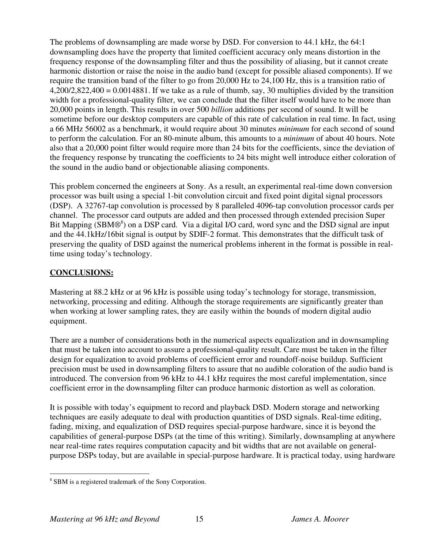The problems of downsampling are made worse by DSD. For conversion to 44.1 kHz, the 64:1 downsampling does have the property that limited coefficient accuracy only means distortion in the frequency response of the downsampling filter and thus the possibility of aliasing, but it cannot create harmonic distortion or raise the noise in the audio band (except for possible aliased components). If we require the transition band of the filter to go from 20,000 Hz to 24,100 Hz, this is a transition ratio of  $4,200/2,822,400 = 0.0014881$ . If we take as a rule of thumb, say, 30 multiplies divided by the transition width for a professional-quality filter, we can conclude that the filter itself would have to be more than 20,000 points in length. This results in over 500 *billion* additions per second of sound. It will be sometime before our desktop computers are capable of this rate of calculation in real time. In fact, using a 66 MHz 56002 as a benchmark, it would require about 30 minutes *minimum* for each second of sound to perform the calculation. For an 80-minute album, this amounts to a *minimum* of about 40 hours. Note also that a 20,000 point filter would require more than 24 bits for the coefficients, since the deviation of the frequency response by truncating the coefficients to 24 bits might well introduce either coloration of the sound in the audio band or objectionable aliasing components.

This problem concerned the engineers at Sony. As a result, an experimental real-time down conversion processor was built using a special 1-bit convolution circuit and fixed point digital signal processors (DSP). A 32767-tap convolution is processed by 8 paralleled 4096-tap convolution processor cards per channel. The processor card outputs are added and then processed through extended precision Super Bit Mapping (SBM®<sup>8</sup>) on a DSP card. Via a digital I/O card, word sync and the DSD signal are input and the 44.1kHz/16bit signal is output by SDIF-2 format. This demonstrates that the difficult task of preserving the quality of DSD against the numerical problems inherent in the format is possible in realtime using today's technology.

### **CONCLUSIONS:**

Mastering at 88.2 kHz or at 96 kHz is possible using today's technology for storage, transmission, networking, processing and editing. Although the storage requirements are significantly greater than when working at lower sampling rates, they are easily within the bounds of modern digital audio equipment.

There are a number of considerations both in the numerical aspects equalization and in downsampling that must be taken into account to assure a professional-quality result. Care must be taken in the filter design for equalization to avoid problems of coefficient error and roundoff-noise buildup. Sufficient precision must be used in downsampling filters to assure that no audible coloration of the audio band is introduced. The conversion from 96 kHz to 44.1 kHz requires the most careful implementation, since coefficient error in the downsampling filter can produce harmonic distortion as well as coloration.

It is possible with today's equipment to record and playback DSD. Modern storage and networking techniques are easily adequate to deal with production quantities of DSD signals. Real-time editing, fading, mixing, and equalization of DSD requires special-purpose hardware, since it is beyond the capabilities of general-purpose DSPs (at the time of this writing). Similarly, downsampling at anywhere near real-time rates requires computation capacity and bit widths that are not available on generalpurpose DSPs today, but are available in special-purpose hardware. It is practical today, using hardware

 <sup>8</sup> <sup>8</sup> SBM is a registered trademark of the Sony Corporation.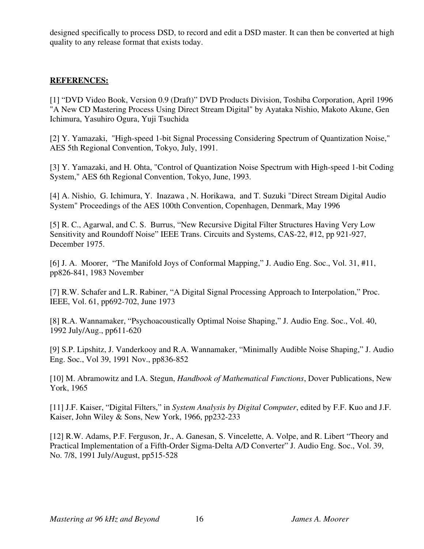designed specifically to process DSD, to record and edit a DSD master. It can then be converted at high quality to any release format that exists today.

### **REFERENCES:**

[1] "DVD Video Book, Version 0.9 (Draft)" DVD Products Division, Toshiba Corporation, April 1996 "A New CD Mastering Process Using Direct Stream Digital" by Ayataka Nishio, Makoto Akune, Gen Ichimura, Yasuhiro Ogura, Yuji Tsuchida

[2] Y. Yamazaki, "High-speed 1-bit Signal Processing Considering Spectrum of Quantization Noise," AES 5th Regional Convention, Tokyo, July, 1991.

[3] Y. Yamazaki, and H. Ohta, "Control of Quantization Noise Spectrum with High-speed 1-bit Coding System," AES 6th Regional Convention, Tokyo, June, 1993.

[4] A. Nishio, G. Ichimura, Y. Inazawa , N. Horikawa, and T. Suzuki "Direct Stream Digital Audio System" Proceedings of the AES 100th Convention, Copenhagen, Denmark, May 1996

[5] R. C., Agarwal, and C. S. Burrus, "New Recursive Digital Filter Structures Having Very Low Sensitivity and Roundoff Noise" IEEE Trans. Circuits and Systems, CAS-22, #12, pp 921-927, December 1975.

[6] J. A. Moorer, "The Manifold Joys of Conformal Mapping," J. Audio Eng. Soc., Vol. 31, #11, pp826-841, 1983 November

[7] R.W. Schafer and L.R. Rabiner, "A Digital Signal Processing Approach to Interpolation," Proc. IEEE, Vol. 61, pp692-702, June 1973

[8] R.A. Wannamaker, "Psychoacoustically Optimal Noise Shaping," J. Audio Eng. Soc., Vol. 40, 1992 July/Aug., pp611-620

[9] S.P. Lipshitz, J. Vanderkooy and R.A. Wannamaker, "Minimally Audible Noise Shaping," J. Audio Eng. Soc., Vol 39, 1991 Nov., pp836-852

[10] M. Abramowitz and I.A. Stegun, *Handbook of Mathematical Functions*, Dover Publications, New York, 1965

[11] J.F. Kaiser, "Digital Filters," in *System Analysis by Digital Computer*, edited by F.F. Kuo and J.F. Kaiser, John Wiley & Sons, New York, 1966, pp232-233

[12] R.W. Adams, P.F. Ferguson, Jr., A. Ganesan, S. Vincelette, A. Volpe, and R. Libert "Theory and Practical Implementation of a Fifth-Order Sigma-Delta A/D Converter" J. Audio Eng. Soc., Vol. 39, No. 7/8, 1991 July/August, pp515-528